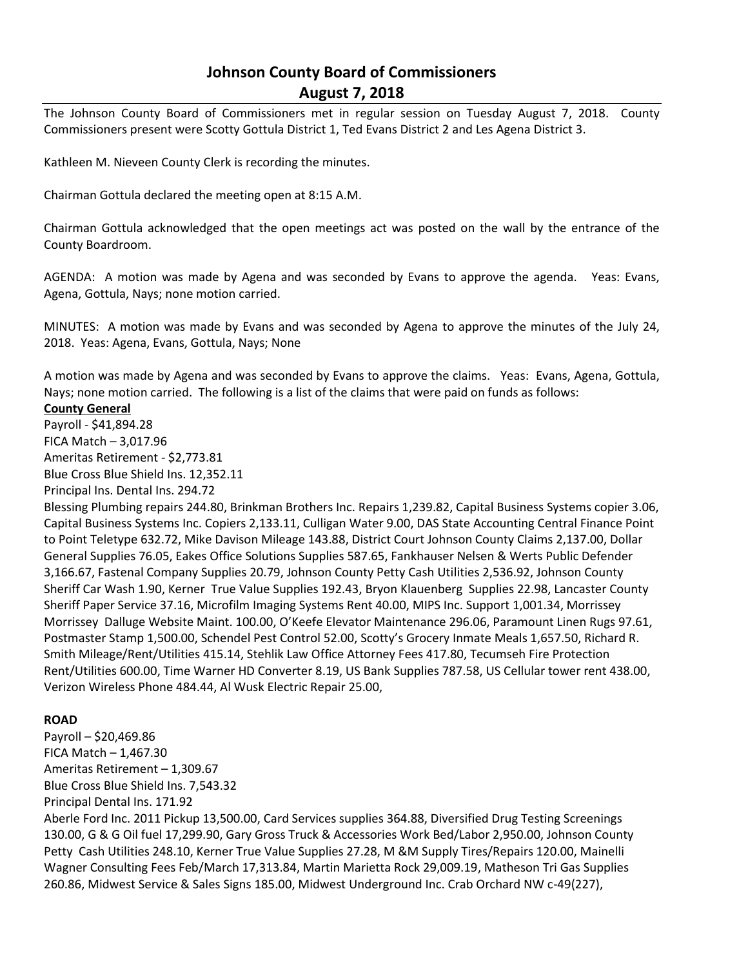# **Johnson County Board of Commissioners August 7, 2018**

The Johnson County Board of Commissioners met in regular session on Tuesday August 7, 2018. County Commissioners present were Scotty Gottula District 1, Ted Evans District 2 and Les Agena District 3.

Kathleen M. Nieveen County Clerk is recording the minutes.

Chairman Gottula declared the meeting open at 8:15 A.M.

Chairman Gottula acknowledged that the open meetings act was posted on the wall by the entrance of the County Boardroom.

AGENDA: A motion was made by Agena and was seconded by Evans to approve the agenda. Yeas: Evans, Agena, Gottula, Nays; none motion carried.

MINUTES: A motion was made by Evans and was seconded by Agena to approve the minutes of the July 24, 2018. Yeas: Agena, Evans, Gottula, Nays; None

A motion was made by Agena and was seconded by Evans to approve the claims. Yeas: Evans, Agena, Gottula, Nays; none motion carried. The following is a list of the claims that were paid on funds as follows:

## **County General**

Payroll - \$41,894.28 FICA Match – 3,017.96 Ameritas Retirement - \$2,773.81 Blue Cross Blue Shield Ins. 12,352.11

Principal Ins. Dental Ins. 294.72

Blessing Plumbing repairs 244.80, Brinkman Brothers Inc. Repairs 1,239.82, Capital Business Systems copier 3.06, Capital Business Systems Inc. Copiers 2,133.11, Culligan Water 9.00, DAS State Accounting Central Finance Point to Point Teletype 632.72, Mike Davison Mileage 143.88, District Court Johnson County Claims 2,137.00, Dollar General Supplies 76.05, Eakes Office Solutions Supplies 587.65, Fankhauser Nelsen & Werts Public Defender 3,166.67, Fastenal Company Supplies 20.79, Johnson County Petty Cash Utilities 2,536.92, Johnson County Sheriff Car Wash 1.90, Kerner True Value Supplies 192.43, Bryon Klauenberg Supplies 22.98, Lancaster County Sheriff Paper Service 37.16, Microfilm Imaging Systems Rent 40.00, MIPS Inc. Support 1,001.34, Morrissey Morrissey Dalluge Website Maint. 100.00, O'Keefe Elevator Maintenance 296.06, Paramount Linen Rugs 97.61, Postmaster Stamp 1,500.00, Schendel Pest Control 52.00, Scotty's Grocery Inmate Meals 1,657.50, Richard R. Smith Mileage/Rent/Utilities 415.14, Stehlik Law Office Attorney Fees 417.80, Tecumseh Fire Protection Rent/Utilities 600.00, Time Warner HD Converter 8.19, US Bank Supplies 787.58, US Cellular tower rent 438.00, Verizon Wireless Phone 484.44, Al Wusk Electric Repair 25.00,

#### **ROAD**

Payroll – \$20,469.86 FICA Match  $-1,467.30$ Ameritas Retirement – 1,309.67 Blue Cross Blue Shield Ins. 7,543.32 Principal Dental Ins. 171.92 Aberle Ford Inc. 2011 Pickup 13,500.00, Card Services supplies 364.88, Diversified Drug Testing Screenings 130.00, G & G Oil fuel 17,299.90, Gary Gross Truck & Accessories Work Bed/Labor 2,950.00, Johnson County Petty Cash Utilities 248.10, Kerner True Value Supplies 27.28, M &M Supply Tires/Repairs 120.00, Mainelli Wagner Consulting Fees Feb/March 17,313.84, Martin Marietta Rock 29,009.19, Matheson Tri Gas Supplies 260.86, Midwest Service & Sales Signs 185.00, Midwest Underground Inc. Crab Orchard NW c-49(227),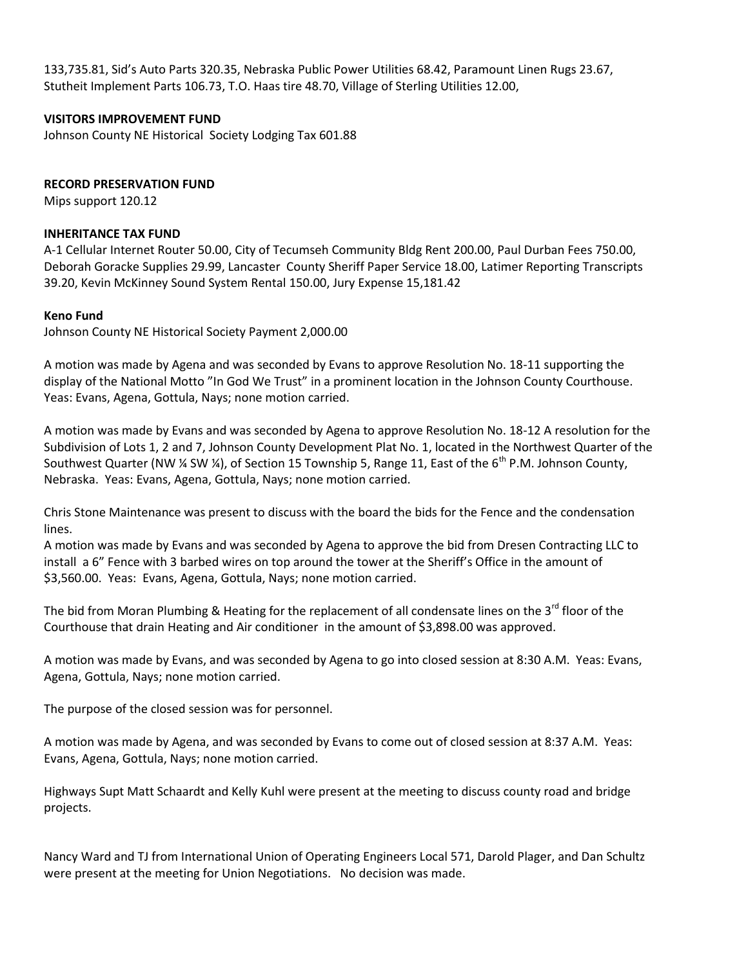133,735.81, Sid's Auto Parts 320.35, Nebraska Public Power Utilities 68.42, Paramount Linen Rugs 23.67, Stutheit Implement Parts 106.73, T.O. Haas tire 48.70, Village of Sterling Utilities 12.00,

# **VISITORS IMPROVEMENT FUND**

Johnson County NE Historical Society Lodging Tax 601.88

# **RECORD PRESERVATION FUND**

Mips support 120.12

#### **INHERITANCE TAX FUND**

A-1 Cellular Internet Router 50.00, City of Tecumseh Community Bldg Rent 200.00, Paul Durban Fees 750.00, Deborah Goracke Supplies 29.99, Lancaster County Sheriff Paper Service 18.00, Latimer Reporting Transcripts 39.20, Kevin McKinney Sound System Rental 150.00, Jury Expense 15,181.42

## **Keno Fund**

Johnson County NE Historical Society Payment 2,000.00

A motion was made by Agena and was seconded by Evans to approve Resolution No. 18-11 supporting the display of the National Motto "In God We Trust" in a prominent location in the Johnson County Courthouse. Yeas: Evans, Agena, Gottula, Nays; none motion carried.

A motion was made by Evans and was seconded by Agena to approve Resolution No. 18-12 A resolution for the Subdivision of Lots 1, 2 and 7, Johnson County Development Plat No. 1, located in the Northwest Quarter of the Southwest Quarter (NW  $\frac{1}{4}$  SW  $\frac{1}{4}$ ), of Section 15 Township 5, Range 11, East of the 6<sup>th</sup> P.M. Johnson County. Nebraska. Yeas: Evans, Agena, Gottula, Nays; none motion carried.

Chris Stone Maintenance was present to discuss with the board the bids for the Fence and the condensation lines.

A motion was made by Evans and was seconded by Agena to approve the bid from Dresen Contracting LLC to install a 6" Fence with 3 barbed wires on top around the tower at the Sheriff's Office in the amount of \$3,560.00. Yeas: Evans, Agena, Gottula, Nays; none motion carried.

The bid from Moran Plumbing & Heating for the replacement of all condensate lines on the 3<sup>rd</sup> floor of the Courthouse that drain Heating and Air conditioner in the amount of \$3,898.00 was approved.

A motion was made by Evans, and was seconded by Agena to go into closed session at 8:30 A.M. Yeas: Evans, Agena, Gottula, Nays; none motion carried.

The purpose of the closed session was for personnel.

A motion was made by Agena, and was seconded by Evans to come out of closed session at 8:37 A.M. Yeas: Evans, Agena, Gottula, Nays; none motion carried.

Highways Supt Matt Schaardt and Kelly Kuhl were present at the meeting to discuss county road and bridge projects.

Nancy Ward and TJ from International Union of Operating Engineers Local 571, Darold Plager, and Dan Schultz were present at the meeting for Union Negotiations. No decision was made.